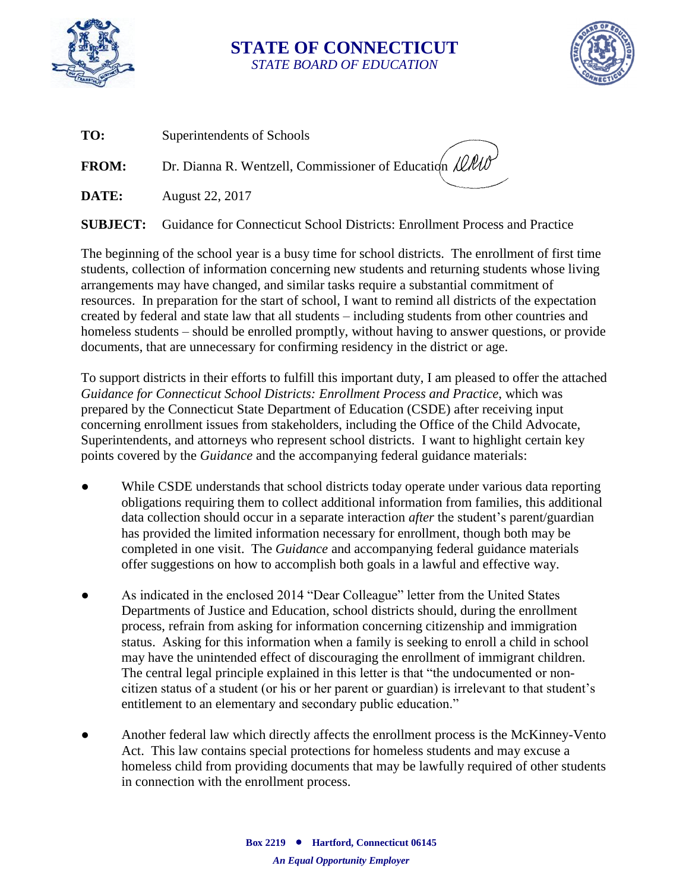

## **STATE OF CONNECTICUT** *STATE BOARD OF EDUCATION*



| TO:          | Superintendents of Schools                             |
|--------------|--------------------------------------------------------|
| <b>FROM:</b> | Dr. Dianna R. Wentzell, Commissioner of Education LLUV |
| DATE:        | August 22, 2017                                        |

**SUBJECT:** Guidance for Connecticut School Districts: Enrollment Process and Practice

The beginning of the school year is a busy time for school districts. The enrollment of first time students, collection of information concerning new students and returning students whose living arrangements may have changed, and similar tasks require a substantial commitment of resources. In preparation for the start of school, I want to remind all districts of the expectation created by federal and state law that all students – including students from other countries and homeless students – should be enrolled promptly, without having to answer questions, or provide documents, that are unnecessary for confirming residency in the district or age.

To support districts in their efforts to fulfill this important duty, I am pleased to offer the attached *Guidance for Connecticut School Districts: Enrollment Process and Practice*, which was prepared by the Connecticut State Department of Education (CSDE) after receiving input concerning enrollment issues from stakeholders, including the Office of the Child Advocate, Superintendents, and attorneys who represent school districts. I want to highlight certain key points covered by the *Guidance* and the accompanying federal guidance materials:

- While CSDE understands that school districts today operate under various data reporting obligations requiring them to collect additional information from families, this additional data collection should occur in a separate interaction *after* the student's parent/guardian has provided the limited information necessary for enrollment, though both may be completed in one visit. The *Guidance* and accompanying federal guidance materials offer suggestions on how to accomplish both goals in a lawful and effective way.
- As indicated in the enclosed 2014 "Dear Colleague" letter from the United States Departments of Justice and Education, school districts should, during the enrollment process, refrain from asking for information concerning citizenship and immigration status. Asking for this information when a family is seeking to enroll a child in school may have the unintended effect of discouraging the enrollment of immigrant children. The central legal principle explained in this letter is that "the undocumented or noncitizen status of a student (or his or her parent or guardian) is irrelevant to that student's entitlement to an elementary and secondary public education."
- Another federal law which directly affects the enrollment process is the McKinney-Vento Act. This law contains special protections for homeless students and may excuse a homeless child from providing documents that may be lawfully required of other students in connection with the enrollment process.